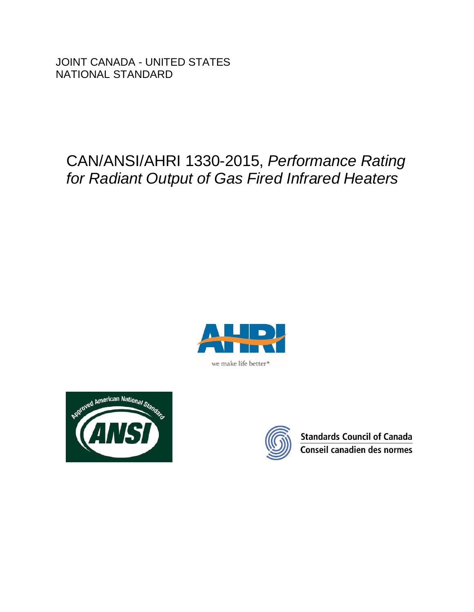JOINT CANADA - UNITED STATES NATIONAL STANDARD

# CAN/ANSI/AHRI 1330-2015, *Performance Rating for Radiant Output of Gas Fired Infrared Heaters*







**Standards Council of Canada** Conseil canadien des normes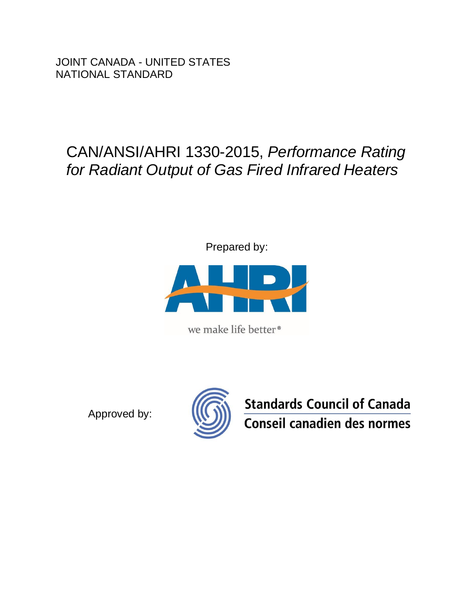JOINT CANADA - UNITED STATES NATIONAL STANDARD

# CAN/ANSI/AHRI 1330-2015, *Performance Rating for Radiant Output of Gas Fired Infrared Heaters*



Prepared by:

we make life better<sup>®</sup>

Approved by:



**Standards Council of Canada Conseil canadien des normes**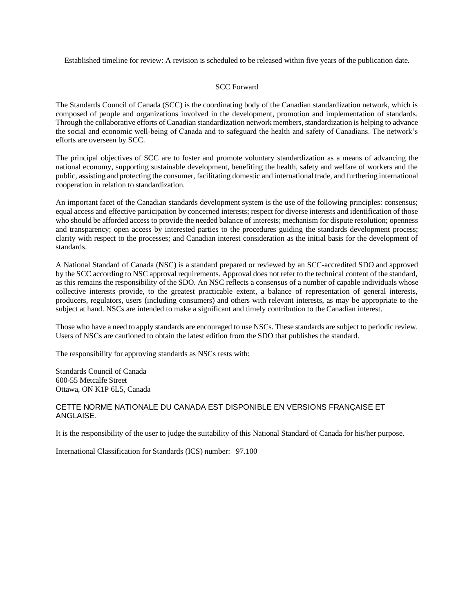Established timeline for review: A revision is scheduled to be released within five years of the publication date.

### SCC Forward

The Standards Council of Canada (SCC) is the coordinating body of the Canadian standardization network, which is composed of people and organizations involved in the development, promotion and implementation of standards. Through the collaborative efforts of Canadian standardization network members, standardization is helping to advance the social and economic well-being of Canada and to safeguard the health and safety of Canadians. The network's efforts are overseen by SCC.

The principal objectives of SCC are to foster and promote voluntary standardization as a means of advancing the national economy, supporting sustainable development, benefiting the health, safety and welfare of workers and the public, assisting and protecting the consumer, facilitating domestic and international trade, and furthering international cooperation in relation to standardization.

An important facet of the Canadian standards development system is the use of the following principles: consensus; equal access and effective participation by concerned interests; respect for diverse interests and identification of those who should be afforded access to provide the needed balance of interests; mechanism for dispute resolution; openness and transparency; open access by interested parties to the procedures guiding the standards development process; clarity with respect to the processes; and Canadian interest consideration as the initial basis for the development of standards.

A National Standard of Canada (NSC) is a standard prepared or reviewed by an SCC-accredited SDO and approved by the SCC according to NSC approval requirements. Approval does not refer to the technical content of the standard, as this remains the responsibility of the SDO. An NSC reflects a consensus of a number of capable individuals whose collective interests provide, to the greatest practicable extent, a balance of representation of general interests, producers, regulators, users (including consumers) and others with relevant interests, as may be appropriate to the subject at hand. NSCs are intended to make a significant and timely contribution to the Canadian interest.

Those who have a need to apply standards are encouraged to use NSCs. These standards are subject to periodic review. Users of NSCs are cautioned to obtain the latest edition from the SDO that publishes the standard.

The responsibility for approving standards as NSCs rests with:

Standards Council of Canada 600-55 Metcalfe Street Ottawa, ON K1P 6L5, Canada

### CETTE NORME NATIONALE DU CANADA EST DISPONIBLE EN VERSIONS FRANÇAISE ET ANGLAISE.

It is the responsibility of the user to judge the suitability of this National Standard of Canada for his/her purpose.

International Classification for Standards (ICS) number: 97.100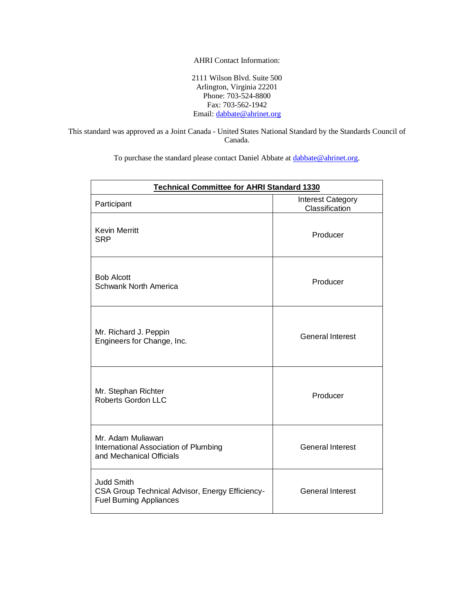### AHRI Contact Information:

2111 Wilson Blvd. Suite 500 Arlington, Virginia 22201 Phone: 703-524-8800 Fax: 703-562-1942 Email[: dabbate@ahrinet.org](mailto:dabbate@ahrinet.org)

This standard was approved as a Joint Canada - United States National Standard by the Standards Council of Canada.

To purchase the standard please contact Daniel Abbate at [dabbate@ahrinet.org.](mailto:dabbate@ahrinet.org)

| <b>Technical Committee for AHRI Standard 1330</b>                                                      |                                            |
|--------------------------------------------------------------------------------------------------------|--------------------------------------------|
| Participant                                                                                            | <b>Interest Category</b><br>Classification |
| <b>Kevin Merritt</b><br><b>SRP</b>                                                                     | Producer                                   |
| <b>Bob Alcott</b><br><b>Schwank North America</b>                                                      | Producer                                   |
| Mr. Richard J. Peppin<br>Engineers for Change, Inc.                                                    | <b>General Interest</b>                    |
| Mr. Stephan Richter<br><b>Roberts Gordon LLC</b>                                                       | Producer                                   |
| Mr. Adam Muliawan<br>International Association of Plumbing<br>and Mechanical Officials                 | <b>General Interest</b>                    |
| <b>Judd Smith</b><br>CSA Group Technical Advisor, Energy Efficiency-<br><b>Fuel Burning Appliances</b> | <b>General Interest</b>                    |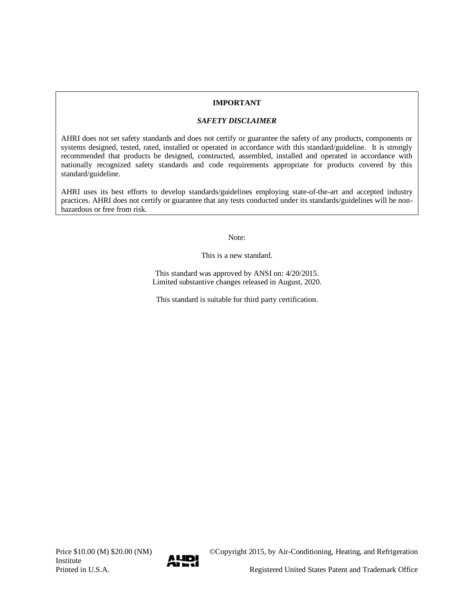### **IMPORTANT**

### *SAFETY DISCLAIMER*

AHRI does not set safety standards and does not certify or guarantee the safety of any products, components or systems designed, tested, rated, installed or operated in accordance with this standard/guideline. It is strongly recommended that products be designed, constructed, assembled, installed and operated in accordance with nationally recognized safety standards and code requirements appropriate for products covered by this standard/guideline.

AHRI uses its best efforts to develop standards/guidelines employing state-of-the-art and accepted industry practices. AHRI does not certify or guarantee that any tests conducted under its standards/guidelines will be nonhazardous or free from risk.

Note:

This is a new standard.

This standard was approved by ANSI on: 4/20/2015. Limited substantive changes released in August, 2020.

This standard is suitable for third party certification.



Price \$10.00 (M) \$20.00 (NM) © Copyright 2015, by Air-Conditioning, Heating, and Refrigeration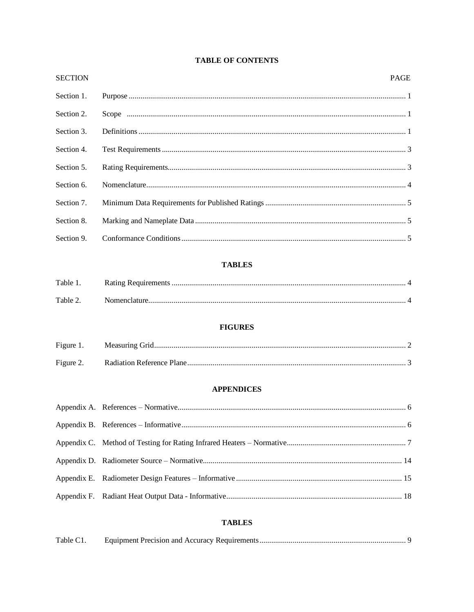|  | <b>TABLE OF CONTENTS</b> |
|--|--------------------------|
|  |                          |

| <b>SECTION</b> |                   | PAGE |
|----------------|-------------------|------|
| Section 1.     |                   |      |
| Section 2.     |                   |      |
| Section 3.     |                   |      |
| Section 4.     |                   |      |
| Section 5.     |                   |      |
| Section 6.     |                   |      |
| Section 7.     |                   |      |
| Section 8.     |                   |      |
| Section 9.     |                   |      |
|                | <b>TABLES</b>     |      |
| Table 1.       |                   |      |
| Table 2.       |                   |      |
|                | <b>FIGURES</b>    |      |
| Figure 1.      |                   |      |
| Figure 2.      |                   |      |
|                | <b>APPENDICES</b> |      |
|                |                   |      |
|                |                   |      |
|                |                   |      |
|                |                   |      |
|                |                   |      |
|                |                   |      |
|                | <b>TABLES</b>     |      |
| Table C1.      |                   |      |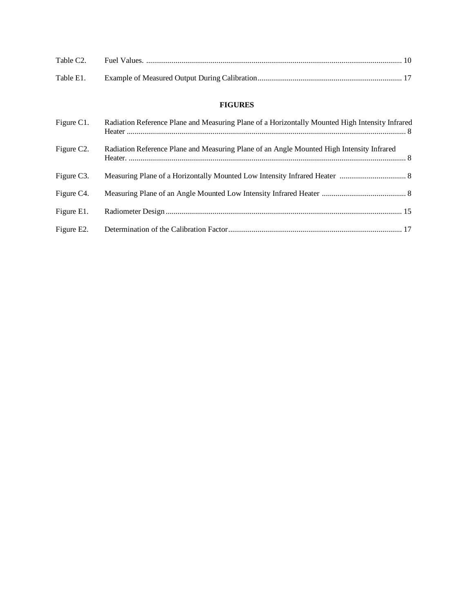### **FIGURES**

| Figure C1.              | Radiation Reference Plane and Measuring Plane of a Horizontally Mounted High Intensity Infrared |
|-------------------------|-------------------------------------------------------------------------------------------------|
| Figure C <sub>2</sub> . | Radiation Reference Plane and Measuring Plane of an Angle Mounted High Intensity Infrared       |
| Figure C3.              |                                                                                                 |
| Figure C4.              |                                                                                                 |
| Figure E1.              |                                                                                                 |
| Figure E2.              |                                                                                                 |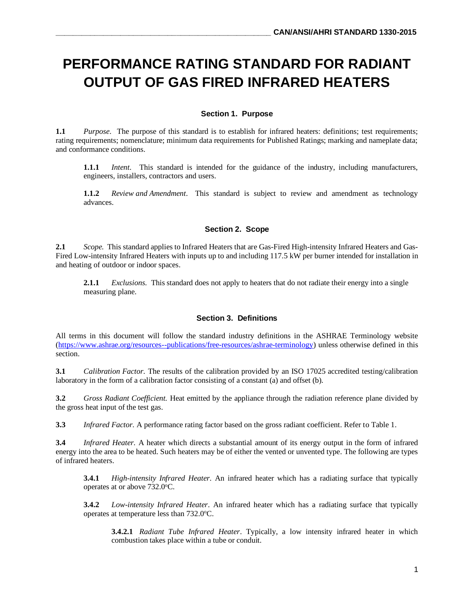# **PERFORMANCE RATING STANDARD FOR RADIANT OUTPUT OF GAS FIRED INFRARED HEATERS**

### **Section 1. Purpose**

**1.1** *Purpose*. The purpose of this standard is to establish for infrared heaters: definitions; test requirements; rating requirements; nomenclature; minimum data requirements for Published Ratings; marking and nameplate data; and conformance conditions.

**1.1.1** *Intent*. This standard is intended for the guidance of the industry, including manufacturers, engineers, installers, contractors and users.

**1.1.2** *Review and Amendment*. This standard is subject to review and amendment as technology advances.

### **Section 2. Scope**

**2.1** *Scope.* This standard applies to Infrared Heaters that are Gas-Fired High-intensity Infrared Heaters and Gas-Fired Low-intensity Infrared Heaters with inputs up to and including 117.5 kW per burner intended for installation in and heating of outdoor or indoor spaces.

**2.1.1** *Exclusions.* This standard does not apply to heaters that do not radiate their energy into a single measuring plane.

### **Section 3. Definitions**

All terms in this document will follow the standard industry definitions in the ASHRAE Terminology website [\(https://www.ashrae.org/resources--publications/free-resources/ashrae-terminology\)](https://www.ashrae.org/resources--publications/free-resources/ashrae-terminology) unless otherwise defined in this section.

**3.1** *Calibration Factor.* The results of the calibration provided by an ISO 17025 accredited testing/calibration laboratory in the form of a calibration factor consisting of a constant (a) and offset (b).

**3.2** *Gross Radiant Coefficient.* Heat emitted by the appliance through the radiation reference plane divided by the gross heat input of the test gas.

**3.3** *Infrared Factor.* A performance rating factor based on the gross radiant coefficient. Refer to Table 1.

**3.4** *Infrared Heater.* A heater which directs a substantial amount of its energy output in the form of infrared energy into the area to be heated. Such heaters may be of either the vented or unvented type. The following are types of infrared heaters.

**3.4.1** *High-intensity Infrared Heater.* An infrared heater which has a radiating surface that typically operates at or above  $732.0^{\circ}$ C.

**3.4.2** *Low-intensity Infrared Heater*. An infrared heater which has a radiating surface that typically operates at temperature less than  $732.0^{\circ}$ C.

**3.4.2.1** *Radiant Tube Infrared Heater*. Typically, a low intensity infrared heater in which combustion takes place within a tube or conduit.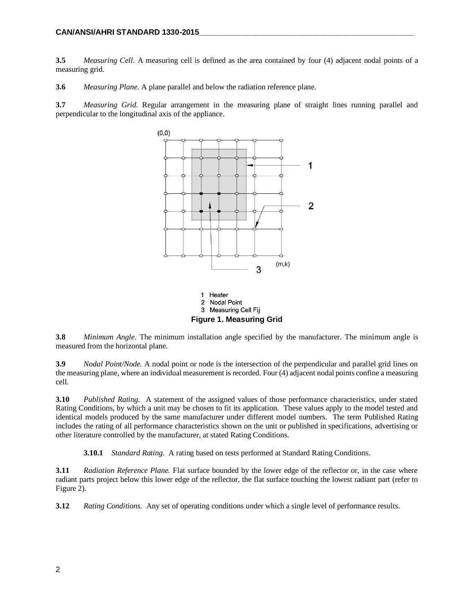**3.5** *Measuring Cell*. A measuring cell is defined as the area contained by four (4) adjacent nodal points of a measuring grid.

**3.6** *Measuring Plane.* A plane parallel and below the radiation reference plane.

**3.7** *Measuring Grid.* Regular arrangement in the measuring plane of straight lines running parallel and perpendicular to the longitudinal axis of the appliance.



**3.8** *Minimum Angle*. The minimum installation angle specified by the manufacturer. The minimum angle is measured from the horizontal plane.

**3.9** *Nodal Point/Node.* A nodal point or node is the intersection of the perpendicular and parallel grid lines on the measuring plane, where an individual measurement is recorded. Four (4) adjacent nodal points confine a measuring cell.

**3.10** *Published Rating.* A statement of the assigned values of those performance characteristics, under stated Rating Conditions, by which a unit may be chosen to fit its application. These values apply to the model tested and identical models produced by the same manufacturer under different model numbers. The term Published Rating includes the rating of all performance characteristics shown on the unit or published in specifications, advertising or other literature controlled by the manufacturer, at stated Rating Conditions.

**3.10.1** *Standard Rating.* A rating based on tests performed at Standard Rating Conditions.

**3.11** *Radiation Reference Plane.* Flat surface bounded by the lower edge of the reflector or, in the case where radiant parts project below this lower edge of the reflector, the flat surface touching the lowest radiant part (refer to Figure 2).

**3.12** *Rating Conditions.* Any set of operating conditions under which a single level of performance results.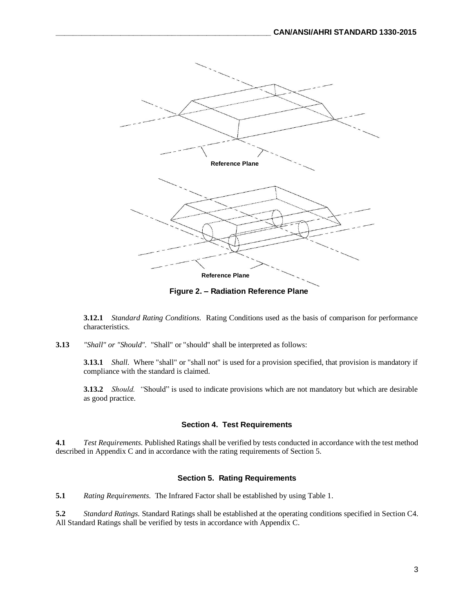

**Figure 2. – Radiation Reference Plane**

**3.12.1** *Standard Rating Conditions.* Rating Conditions used as the basis of comparison for performance characteristics.

**3.13** *"Shall" or "Should".* "Shall" or "should" shall be interpreted as follows:

**3.13.1** *Shall.* Where "shall" or "shall not" is used for a provision specified, that provision is mandatory if compliance with the standard is claimed.

**3.13.2** *Should. "*Should" is used to indicate provisions which are not mandatory but which are desirable as good practice.

### **Section 4. Test Requirements**

**4.1** *Test Requirements.* Published Ratings shall be verified by tests conducted in accordance with the test method described in Appendix C and in accordance with the rating requirements of Section 5.

### **Section 5. Rating Requirements**

**5.1** *Rating Requirements.* The Infrared Factor shall be established by using Table 1.

**5.2** *Standard Ratings.* Standard Ratings shall be established at the operating conditions specified in Section C4. All Standard Ratings shall be verified by tests in accordance with Appendix C.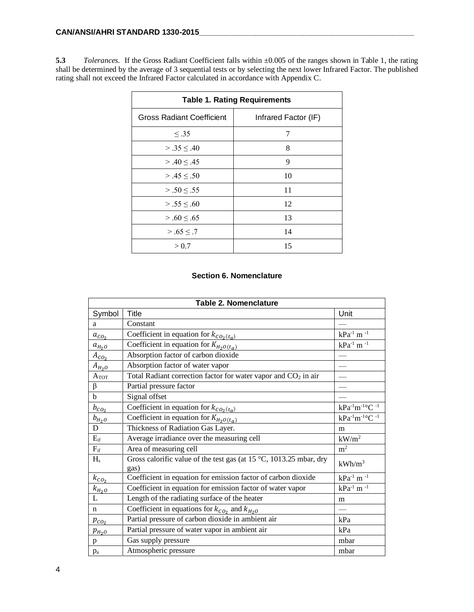**5.3** *Tolerances.* If the Gross Radiant Coefficient falls within ±0.005 of the ranges shown in Table 1, the rating shall be determined by the average of 3 sequential tests or by selecting the next lower Infrared Factor. The published rating shall not exceed the Infrared Factor calculated in accordance with Appendix C.

| <b>Table 1. Rating Requirements</b> |                      |
|-------------------------------------|----------------------|
| Gross Radiant Coefficient           | Infrared Factor (IF) |
| $\leq .35$                          | 7                    |
| > .35 < .40                         | 8                    |
| $> 0.40 \le 0.45$                   | 9                    |
| $> 0.45 \le 0.50$                   | 10                   |
| $> .50 \le .55$                     | 11                   |
| $> .55 \le .60$                     | 12                   |
| $> .60 \le .65$                     | 13                   |
| $> .65 \le .7$                      | 14                   |
| > 0.7                               | 15                   |

### **Section 6. Nomenclature**

|                                      | <b>Table 2. Nomenclature</b>                                               |                            |  |
|--------------------------------------|----------------------------------------------------------------------------|----------------------------|--|
| Symbol                               | Title                                                                      | Unit                       |  |
| a                                    | Constant                                                                   |                            |  |
| $a_{CO2}$                            | Coefficient in equation for $k_{CO_2(t_a)}$                                | $kPa^{-1}$ m $^{-1}$       |  |
| $a_{H_2O}$                           | Coefficient in equation for $K_{H_2O(t_a)}$                                | $kPa^{-1}$ m $^{-1}$       |  |
| $A_{CQ_2}$                           | Absorption factor of carbon dioxide                                        |                            |  |
| $A_{H_2O}$                           | Absorption factor of water vapor                                           |                            |  |
| $A_{TOT}$                            | Total Radiant correction factor for water vapor and CO <sub>2</sub> in air |                            |  |
| β                                    | Partial pressure factor                                                    |                            |  |
| b                                    | Signal offset                                                              |                            |  |
| $b_{\underline{{\cal C}{\cal O}}_2}$ | Coefficient in equation for $k_{CO_2(t_a)}$                                | $kPa^{-1}m^{-1}$ °C -1     |  |
| $b_{H_{2}O}$                         | Coefficient in equation for $K_{H_2O(t_a)}$                                | $kPa^{-1}m^{-1}$ °C -1     |  |
| D                                    | Thickness of Radiation Gas Layer.                                          | m                          |  |
| $E_{if}$                             | Average irradiance over the measuring cell                                 | $\mathrm{kW}/\mathrm{m}^2$ |  |
| $F_{if}$                             | Area of measuring cell                                                     | m <sup>2</sup>             |  |
| $H_s$                                | Gross calorific value of the test gas (at 15 °C, 1013.25 mbar, dry<br>gas) | $kWh/m^3$                  |  |
| $k_{\underline{CO_2}}$               | Coefficient in equation for emission factor of carbon dioxide              | $kPa^{-1}$ m $^{-1}$       |  |
| $k_{H_2O}$                           | Coefficient in equation for emission factor of water vapor                 | $kPa^{-1}$ m $^{-1}$       |  |
| L                                    | Length of the radiating surface of the heater                              | m                          |  |
| n                                    | Coefficient in equations for $k_{CO_2}$ and $k_{H_2O}$                     |                            |  |
| $p_{CO_2}$                           | Partial pressure of carbon dioxide in ambient air                          | kPa                        |  |
| $p_{H_2O}$                           | Partial pressure of water vapor in ambient air                             | kPa                        |  |
| p                                    | Gas supply pressure                                                        | mbar                       |  |
| $p_a$                                | Atmospheric pressure                                                       | mbar                       |  |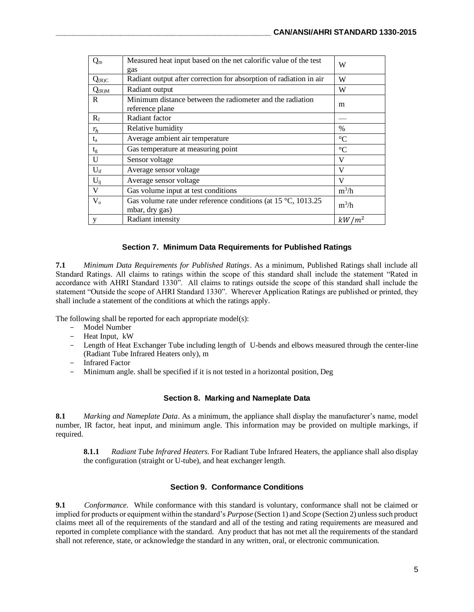| $Q_m$      | Measured heat input based on the net calorific value of the test<br>gas                     | W               |
|------------|---------------------------------------------------------------------------------------------|-----------------|
| $Q_{(R)C}$ | Radiant output after correction for absorption of radiation in air                          | W               |
| $Q_{(R)M}$ | Radiant output                                                                              | W               |
| R          | Minimum distance between the radiometer and the radiation<br>reference plane                | m               |
| $R_f$      | Radiant factor                                                                              |                 |
| $r_h$      | Relative humidity                                                                           | $\%$            |
| $t_a$      | Average ambient air temperature                                                             | $\rm ^{\circ}C$ |
| $t_{g}$    | Gas temperature at measuring point                                                          | $^{\circ}C$     |
| U          | Sensor voltage                                                                              | V               |
| $U_{if}$   | Average sensor voltage                                                                      | V               |
| $U_{ij}$   | Average sensor voltage                                                                      | V               |
| V          | Gas volume input at test conditions                                                         | $m^3/h$         |
| $V_{o}$    | Gas volume rate under reference conditions (at $15 \degree C$ , $1013.25$<br>mbar, dry gas) | $m^3/h$         |
| y          | Radiant intensity                                                                           | $kW/m^2$        |

### **Section 7. Minimum Data Requirements for Published Ratings**

**7.1** *Minimum Data Requirements for Published Ratings*. As a minimum, Published Ratings shall include all Standard Ratings. All claims to ratings within the scope of this standard shall include the statement "Rated in accordance with AHRI Standard 1330". All claims to ratings outside the scope of this standard shall include the statement "Outside the scope of AHRI Standard 1330". Wherever Application Ratings are published or printed, they shall include a statement of the conditions at which the ratings apply.

The following shall be reported for each appropriate model(s):

- Model Number
- Heat Input, kW
- Length of Heat Exchanger Tube including length of U-bends and elbows measured through the center-line (Radiant Tube Infrared Heaters only), m
- Infrared Factor
- Minimum angle. shall be specified if it is not tested in a horizontal position, Deg

#### **Section 8. Marking and Nameplate Data**

**8.1** *Marking and Nameplate Data*. As a minimum, the appliance shall display the manufacturer's name, model number, IR factor, heat input, and minimum angle. This information may be provided on multiple markings, if required.

**8.1.1** *Radiant Tube Infrared Heaters.* For Radiant Tube Infrared Heaters, the appliance shall also display the configuration (straight or U-tube), and heat exchanger length.

### **Section 9. Conformance Conditions**

**9.1** *Conformance*. While conformance with this standard is voluntary, conformance shall not be claimed or implied for products or equipment within the standard's *Purpose* (Section 1) and *Scope* (Section 2) unless such product claims meet all of the requirements of the standard and all of the testing and rating requirements are measured and reported in complete compliance with the standard. Any product that has not met all the requirements of the standard shall not reference, state, or acknowledge the standard in any written, oral, or electronic communication.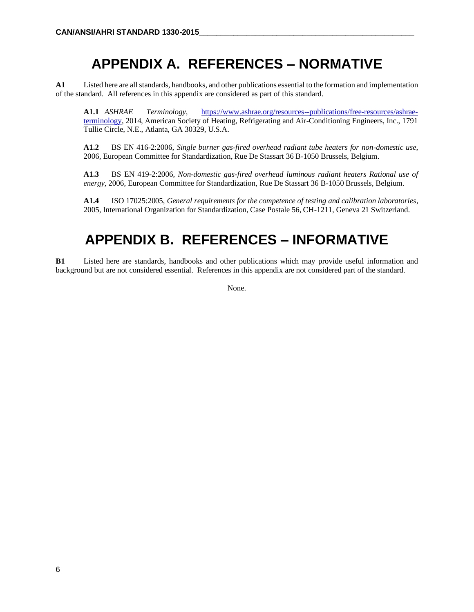# **APPENDIX A. REFERENCES – NORMATIVE**

**A1** Listed here are all standards, handbooks, and other publications essential to the formation and implementation of the standard. All references in this appendix are considered as part of this standard.

**A1.1** *ASHRAE Terminology,* [https://www.ashrae.org/resources--publications/free-resources/ashrae](https://www.ashrae.org/resources--publications/free-resources/ashrae-terminology)[terminology,](https://www.ashrae.org/resources--publications/free-resources/ashrae-terminology) 2014, American Society of Heating, Refrigerating and Air-Conditioning Engineers, Inc., 1791 Tullie Circle, N.E., Atlanta, GA 30329, U.S.A.

**A1.2** BS EN 416-2:2006, *Single burner gas-fired overhead radiant tube heaters for non-domestic use*, 2006, European Committee for Standardization, Rue De Stassart 36 B-1050 Brussels, Belgium.

**A1.3** BS EN 419-2:2006, *Non-domestic gas-fired overhead luminous radiant heaters Rational use of energy,* 2006, European Committee for Standardization, Rue De Stassart 36 B-1050 Brussels, Belgium.

**A1.4** ISO 17025:2005, *General requirements for the competence of testing and calibration laboratories*, 2005, International Organization for Standardization, Case Postale 56, CH-1211, Geneva 21 Switzerland.

## **APPENDIX B. REFERENCES – INFORMATIVE**

**B1** Listed here are standards, handbooks and other publications which may provide useful information and background but are not considered essential. References in this appendix are not considered part of the standard.

None.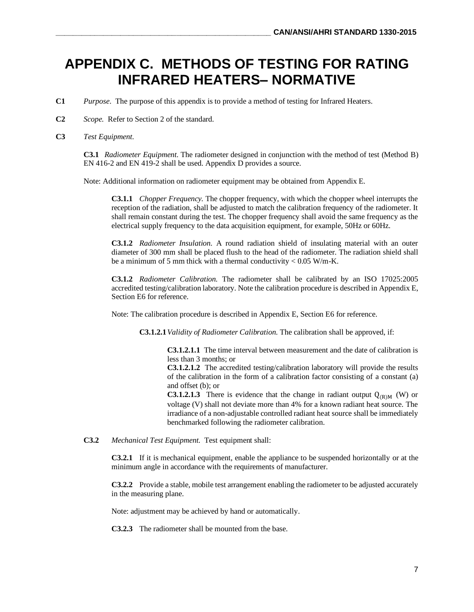## **APPENDIX C. METHODS OF TESTING FOR RATING INFRARED HEATERS– NORMATIVE**

- **C1** *Purpose*. The purpose of this appendix is to provide a method of testing for Infrared Heaters.
- **C2** *Scope.* Refer to Section 2 of the standard.
- **C3** *Test Equipment.*

**C3.1** *Radiometer Equipment.* The radiometer designed in conjunction with the method of test (Method B) EN 416-2 and EN 419-2 shall be used. Appendix D provides a source.

Note: Additional information on radiometer equipment may be obtained from Appendix E.

**C3.1.1** *Chopper Frequency.* The chopper frequency, with which the chopper wheel interrupts the reception of the radiation, shall be adjusted to match the calibration frequency of the radiometer. It shall remain constant during the test. The chopper frequency shall avoid the same frequency as the electrical supply frequency to the data acquisition equipment, for example, 50Hz or 60Hz.

**C3.1.2** *Radiometer Insulation.* A round radiation shield of insulating material with an outer diameter of 300 mm shall be placed flush to the head of the radiometer. The radiation shield shall be a minimum of 5 mm thick with a thermal conductivity  $< 0.05$  W/m-K.

**C3.1.2** *Radiometer Calibration.* The radiometer shall be calibrated by an ISO 17025:2005 accredited testing/calibration laboratory. Note the calibration procedure is described in Appendix E, Section E6 for reference.

Note: The calibration procedure is described in Appendix E, Section E6 for reference.

**C3.1.2.1***Validity of Radiometer Calibration.* The calibration shall be approved, if:

**C3.1.2.1.1** The time interval between measurement and the date of calibration is less than 3 months; or

**C3.1.2.1.2** The accredited testing/calibration laboratory will provide the results of the calibration in the form of a calibration factor consisting of a constant (a) and offset (b); or

**C3.1.2.1.3** There is evidence that the change in radiant output  $Q_{(R)M}$  (W) or voltage (V) shall not deviate more than 4% for a known radiant heat source. The irradiance of a non-adjustable controlled radiant heat source shall be immediately benchmarked following the radiometer calibration.

**C3.2** *Mechanical Test Equipment.* Test equipment shall:

**C3.2.1** If it is mechanical equipment, enable the appliance to be suspended horizontally or at the minimum angle in accordance with the requirements of manufacturer.

**C3.2.2** Provide a stable, mobile test arrangement enabling the radiometer to be adjusted accurately in the measuring plane.

Note: adjustment may be achieved by hand or automatically.

**C3.2.3** The radiometer shall be mounted from the base.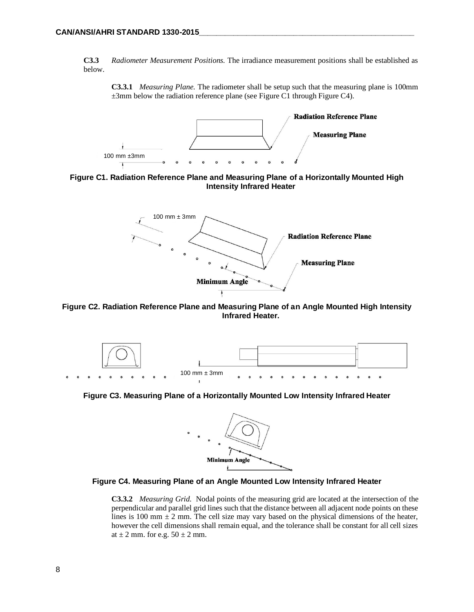**C3.3** *Radiometer Measurement Positions.* The irradiance measurement positions shall be established as below.

**C3.3.1** *Measuring Plane.* The radiometer shall be setup such that the measuring plane is 100mm ±3mm below the radiation reference plane (see Figure C1 through Figure C4).



**Figure C1. Radiation Reference Plane and Measuring Plane of a Horizontally Mounted High Intensity Infrared Heater**







**Figure C3. Measuring Plane of a Horizontally Mounted Low Intensity Infrared Heater**





**C3.3.2** *Measuring Grid.* Nodal points of the measuring grid are located at the intersection of the perpendicular and parallel grid lines such that the distance between all adjacent node points on these lines is 100 mm  $\pm$  2 mm. The cell size may vary based on the physical dimensions of the heater, however the cell dimensions shall remain equal, and the tolerance shall be constant for all cell sizes at  $\pm$  2 mm. for e.g. 50  $\pm$  2 mm.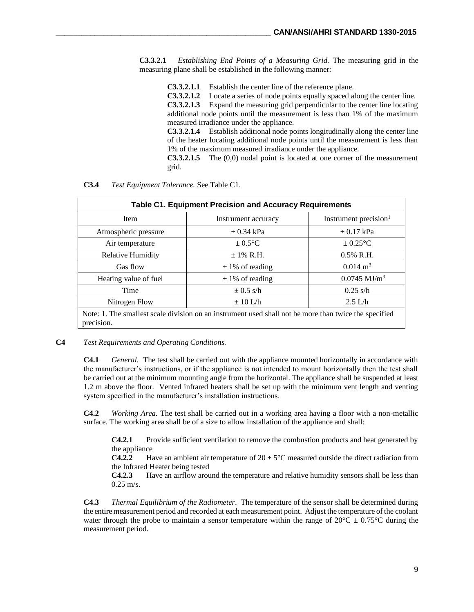**C3.3.2.1** *Establishing End Points of a Measuring Grid.* The measuring grid in the measuring plane shall be established in the following manner:

**C3.3.2.1.1** Establish the center line of the reference plane.

**C3.3.2.1.2** Locate a series of node points equally spaced along the center line.

**C3.3.2.1.3** Expand the measuring grid perpendicular to the center line locating additional node points until the measurement is less than 1% of the maximum measured irradiance under the appliance.

**C3.3.2.1.4** Establish additional node points longitudinally along the center line of the heater locating additional node points until the measurement is less than 1% of the maximum measured irradiance under the appliance.

**C3.3.2.1.5** The (0,0) nodal point is located at one corner of the measurement grid.

| C3.4 | Test Equipment Tolerance. See Table C1. |  |  |  |
|------|-----------------------------------------|--|--|--|
|------|-----------------------------------------|--|--|--|

| <b>Table C1. Equipment Precision and Accuracy Requirements</b> |                                                                                                       |                                   |
|----------------------------------------------------------------|-------------------------------------------------------------------------------------------------------|-----------------------------------|
| <b>Item</b>                                                    | Instrument accuracy                                                                                   | Instrument precision <sup>1</sup> |
| Atmospheric pressure                                           | $\pm$ 0.34 kPa                                                                                        | $\pm$ 0.17 kPa                    |
| Air temperature                                                | $\pm 0.5$ °C                                                                                          | $\pm$ 0.25 °C                     |
| <b>Relative Humidity</b>                                       | $±$ 1% R.H.                                                                                           | $0.5\%$ R.H.                      |
| Gas flow                                                       | $\pm$ 1% of reading                                                                                   | $0.014 \text{ m}^3$               |
| Heating value of fuel                                          | $\pm$ 1% of reading                                                                                   | $0.0745$ MJ/m <sup>3</sup>        |
| Time                                                           | $\pm$ 0.5 s/h                                                                                         | $0.25$ s/h                        |
| Nitrogen Flow                                                  | $\pm 10$ L/h                                                                                          | $2.5$ L/h                         |
| precision.                                                     | Note: 1. The smallest scale division on an instrument used shall not be more than twice the specified |                                   |

#### **C4** *Test Requirements and Operating Conditions.*

**C4.1** *General.* The test shall be carried out with the appliance mounted horizontally in accordance with the manufacturer's instructions, or if the appliance is not intended to mount horizontally then the test shall be carried out at the minimum mounting angle from the horizontal. The appliance shall be suspended at least 1.2 m above the floor. Vented infrared heaters shall be set up with the minimum vent length and venting system specified in the manufacturer's installation instructions.

**C4.2** *Working Area.* The test shall be carried out in a working area having a floor with a non-metallic surface. The working area shall be of a size to allow installation of the appliance and shall:

**C4.2.1** Provide sufficient ventilation to remove the combustion products and heat generated by the appliance

**C4.2.2** Have an ambient air temperature of  $20 \pm 5^{\circ}$ C measured outside the direct radiation from the Infrared Heater being tested

**C4.2.3** Have an airflow around the temperature and relative humidity sensors shall be less than 0.25 m/s.

**C4.3** *Thermal Equilibrium of the Radiometer*. The temperature of the sensor shall be determined during the entire measurement period and recorded at each measurement point. Adjust the temperature of the coolant water through the probe to maintain a sensor temperature within the range of  $20^{\circ}C \pm 0.75^{\circ}C$  during the measurement period.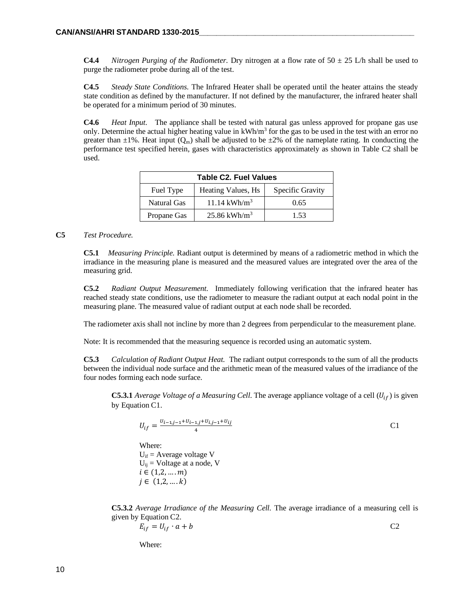**C4.4** *Nitrogen Purging of the Radiometer.* Dry nitrogen at a flow rate of  $50 \pm 25$  L/h shall be used to purge the radiometer probe during all of the test.

**C4.5** *Steady State Conditions.* The Infrared Heater shall be operated until the heater attains the steady state condition as defined by the manufacturer. If not defined by the manufacturer, the infrared heater shall be operated for a minimum period of 30 minutes.

**C4.6** *Heat Input.* The appliance shall be tested with natural gas unless approved for propane gas use only. Determine the actual higher heating value in kWh/m<sup>3</sup> for the gas to be used in the test with an error no greater than  $\pm 1\%$ . Heat input (Q<sub>m</sub>) shall be adjusted to be  $\pm 2\%$  of the nameplate rating. In conducting the performance test specified herein, gases with characteristics approximately as shown in Table C2 shall be used.

| <b>Table C2. Fuel Values</b> |                         |                  |
|------------------------------|-------------------------|------------------|
| Fuel Type                    | Heating Values, Hs      | Specific Gravity |
| Natural Gas                  | $11.14 \text{ kWh/m}^3$ | 0.65             |
| Propane Gas                  | $25.86 \text{ kWh/m}^3$ | 1.53             |

#### **C5** *Test Procedure.*

**C5.1** *Measuring Principle.* Radiant output is determined by means of a radiometric method in which the irradiance in the measuring plane is measured and the measured values are integrated over the area of the measuring grid.

**C5.2** *Radiant Output Measurement.* Immediately following verification that the infrared heater has reached steady state conditions, use the radiometer to measure the radiant output at each nodal point in the measuring plane. The measured value of radiant output at each node shall be recorded.

The radiometer axis shall not incline by more than 2 degrees from perpendicular to the measurement plane.

Note: It is recommended that the measuring sequence is recorded using an automatic system.

**C5.3** *Calculation of Radiant Output Heat.* The radiant output corresponds to the sum of all the products between the individual node surface and the arithmetic mean of the measured values of the irradiance of the four nodes forming each node surface.

**C5.3.1** *Average Voltage of a Measuring Cell.* The average appliance voltage of a cell  $(U_{if})$  is given by Equation C1.

$$
U_{if} = \frac{U_{i-1,j-1} + U_{i-1,j} + U_{i,j-1} + U_{ij}}{4}
$$
 C1

Where:  $U_{if}$  = Average voltage V  $U_{ii}$  = Voltage at a node, V  $i \in (1, 2, ..., m)$  $j \in (1, 2, ..., k)$ 

**C5.3.2** *Average Irradiance of the Measuring Cell.* The average irradiance of a measuring cell is given by Equation C2.

$$
E_{if} = U_{if} \cdot a + b \tag{C2}
$$

Where: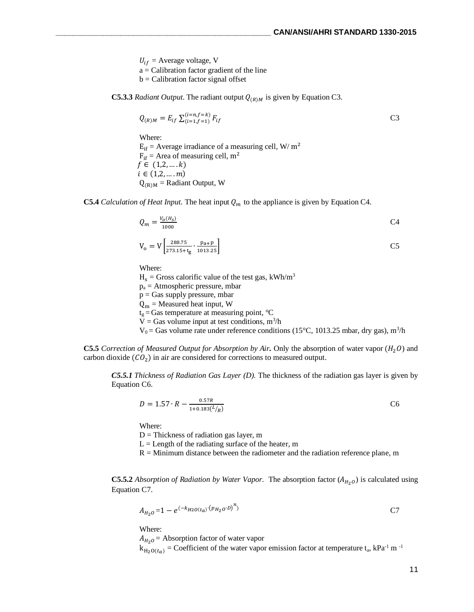$U_{if}$  = Average voltage, V

 $a =$  Calibration factor gradient of the line

 $b =$  Calibration factor signal offset

**C5.3.3** *Radiant Output.* The radiant output  $Q_{(R)M}$  is given by Equation C3.

$$
Q_{(R)M} = E_{if} \sum_{(i=1,f=1)}^{(i=n,f=k)} F_{if}
$$
 C3

Where:  $E_{if}$  = Average irradiance of a measuring cell, W/ m<sup>2</sup>  $F_{if}$  = Area of measuring cell, m<sup>2</sup>  $f \in (1, 2, \dots, k)$  $i \in (1, 2, ..., m)$  $Q_{(R)M}$  = Radiant Output, W

**C5.4** *Calculation of Heat Input.* The heat input  $Q_m$  to the appliance is given by Equation C4.

$$
Q_m = \frac{V_o(I_s)}{1000} \tag{C4}
$$

$$
V_o = V \left[ \frac{288.75}{273.15 + t_g} \cdot \frac{p_{a+}p}{1013.25} \right]
$$
 C5

Where:

 $H_s$  = Gross calorific value of the test gas, kWh/m<sup>3</sup>  $p_a =$  Atmospheric pressure, mbar  $p = Gas$  supply pressure, mbar  $Q_m$  = Measured heat input, W  $t_g =$ Gas temperature at measuring point, °C  $V =$  Gas volume input at test conditions,  $m^3/h$  $V_0$  = Gas volume rate under reference conditions (15°C, 1013.25 mbar, dry gas), m<sup>3</sup>/h

**C5.5** *Correction of Measured Output for Absorption by Air*. Only the absorption of water vapor  $(H_2O)$  and carbon dioxide  $(CO_2)$  in air are considered for corrections to measured output.

*C5.5.1 Thickness of Radiation Gas Layer (D).* The thickness of the radiation gas layer is given by Equation C6.

$$
D = 1.57 \cdot R - \frac{0.57R}{1 + 0.183 \left(\frac{L}{R}\right)}
$$
 C6

Where:

 $D =$  Thickness of radiation gas layer, m

 $L =$  Length of the radiating surface of the heater, m

 $R =$  Minimum distance between the radiometer and the radiation reference plane, m

**C5.5.2** *Absorption of Radiation by Water Vapor.* The absorption factor  $(A_{H_2O})$  is calculated using Equation C7.

$$
A_{H_2O} = 1 - e^{(-k_{H2O}(t_a) \cdot (p_{H_2O} \cdot D)^n)}
$$

Where:

 $A_{H_2O}$  = Absorption factor of water vapor

 $k_{H_2O(t_a)}$  = Coefficient of the water vapor emission factor at temperature t<sub>a</sub>, kPa<sup>-1</sup> m<sup>-1</sup>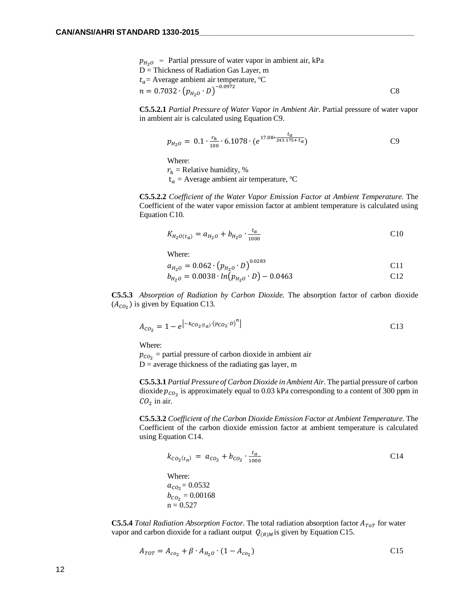$p_{H_2O}$  = Partial pressure of water vapor in ambient air, kPa D = Thickness of Radiation Gas Layer, m  $t_a$  = Average ambient air temperature,  $\mathrm{C}$  $n = 0.7032 \cdot (p_{H_2O} \cdot D)^{-0.0972}$ C8

**C5.5.2.1** *Partial Pressure of Water Vapor in Ambient Air.* Partial pressure of water vapor in ambient air is calculated using Equation C9.

$$
p_{H_2O} = 0.1 \cdot \frac{r_h}{100} \cdot 6.1078 \cdot (e^{17.08 * \frac{t_a}{243.175 + t_a}})
$$

Where:

 $r_h$  = Relative humidity, %

 $t_a$  = Average ambient air temperature, <sup>o</sup>C

**C5.5.2.2** *Coefficient of the Water Vapor Emission Factor at Ambient Temperature.* The Coefficient of the water vapor emission factor at ambient temperature is calculated using Equation C10.

$$
K_{H_2O(t_a)} = a_{H_2O} + b_{H_2O} \cdot \frac{t_a}{1000}
$$
 C10

Where:

$$
a_{H_2O} = 0.062 \cdot (p_{H_2O} \cdot D)^{0.0283}
$$
 C11

$$
b_{H_2O} = 0.0038 \cdot ln(p_{H_2O} \cdot D) - 0.0463
$$
 C12

**C5.5.3** *Absorption of Radiation by Carbon Dioxide.* The absorption factor of carbon dioxide  $(A_{CO_2})$  is given by Equation C13.

$$
A_{CO_2} = 1 - e^{\left[-k_{CO_2(t_a)}(p_{CO_2} \cdot D)^n\right]}
$$
 C13

Where:

 $p_{CO_2}$  = partial pressure of carbon dioxide in ambient air  $D =$  average thickness of the radiating gas layer, m

**C5.5.3.1** *Partial Pressure of Carbon Dioxide in Ambient Air.* The partial pressure of carbon dioxide  $p_{CO_2}$  is approximately equal to 0.03 kPa corresponding to a content of 300 ppm in  $CO<sub>2</sub>$  in air.

**C5.5.3.2** *Coefficient of the Carbon Dioxide Emission Factor at Ambient Temperature.* The Coefficient of the carbon dioxide emission factor at ambient temperature is calculated using Equation C14.

$$
k_{CO_2(t_a)} = a_{CO_2} + b_{CO_2} \cdot \frac{t_a}{1000}
$$
  
Where:  

$$
a_{CO_2} = 0.0532
$$
  

$$
b_{CO_2} = 0.00168
$$
  
n = 0.527

**C5.5.4** *Total Radiation Absorption Factor.* The total radiation absorption factor  $A_{T \circ T}$  for water vapor and carbon dioxide for a radiant output  $Q_{(R)M}$  is given by Equation C15.

$$
A_{TOT} = A_{co_2} + \beta \cdot A_{H_2O} \cdot (1 - A_{co_2})
$$
 C15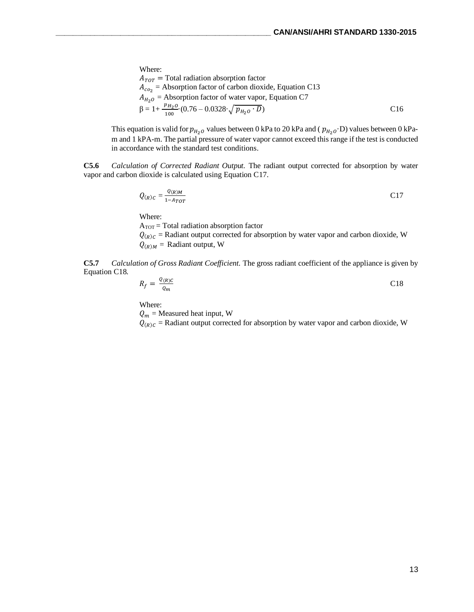Where:

$$
A_{TOT} = \text{Total radiation absorption factor}
$$
  
\n
$$
A_{co_2} = \text{Absorption factor of carbon dioxide, Equation C13}
$$
  
\n
$$
A_{H_2O} = \text{Absorption factor of water vapor, Equation C7}
$$
  
\n
$$
\beta = 1 + \frac{p_{H_2O}}{100} \cdot (0.76 - 0.0328 \cdot \sqrt{p_{H_2O} \cdot D})
$$
 C16

This equation is valid for  $p_{H_2O}$  values between 0 kPa to 20 kPa and (  $p_{H_2O}$ ·D) values between 0 kPam and 1 kPA-m. The partial pressure of water vapor cannot exceed this range if the test is conducted in accordance with the standard test conditions.

**C5.6** *Calculation of Corrected Radiant Output.* The radiant output corrected for absorption by water vapor and carbon dioxide is calculated using Equation C17.

$$
Q_{(R)C} = \frac{Q_{(R)M}}{1 - A_{TOT}} \tag{C17}
$$

Where:

ATOT = Total radiation absorption factor  $Q_{(R)C}$  = Radiant output corrected for absorption by water vapor and carbon dioxide, W  $Q_{(R)M}$  = Radiant output, W

**C5.7** *Calculation of Gross Radiant Coefficient.* The gross radiant coefficient of the appliance is given by Equation C18.

$$
R_f = \frac{Q_{(R)C}}{Q_m} \tag{C18}
$$

Where:

 $Q_m$  = Measured heat input, W  $Q_{(R)C}$  = Radiant output corrected for absorption by water vapor and carbon dioxide, W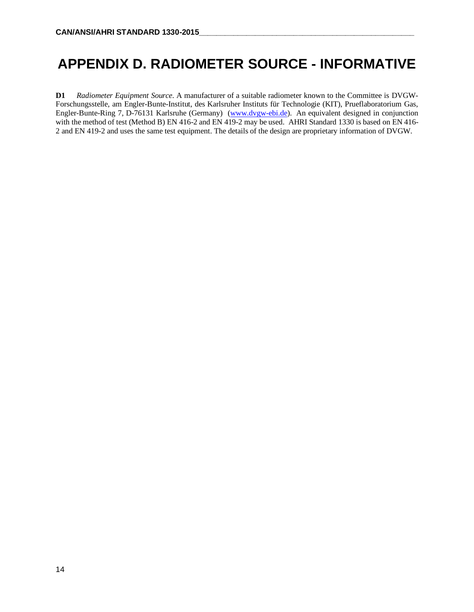# **APPENDIX D. RADIOMETER SOURCE - INFORMATIVE**

**D1** *Radiometer Equipment Source*. A manufacturer of a suitable radiometer known to the Committee is DVGW-Forschungsstelle, am Engler-Bunte-Institut, des Karlsruher Instituts für Technologie (KIT), Prueflaboratorium Gas, Engler-Bunte-Ring 7, D-76131 Karlsruhe (Germany) [\(www.dvgw-ebi.de\)](http://www.dvgw-ebi.de/). An equivalent designed in conjunction with the method of test (Method B) EN 416-2 and EN 419-2 may be used. AHRI Standard 1330 is based on EN 416-2 and EN 419-2 and uses the same test equipment. The details of the design are proprietary information of DVGW.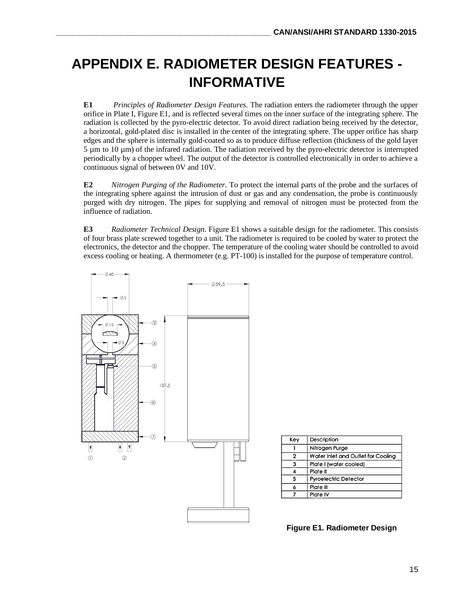# **APPENDIX E. RADIOMETER DESIGN FEATURES - INFORMATIVE**

**E1** *Principles of Radiometer Design Features.* The radiation enters the radiometer through the upper orifice in Plate I, Figure E1, and is reflected several times on the inner surface of the integrating sphere. The radiation is collected by the pyro-electric detector. To avoid direct radiation being received by the detector, a horizontal, gold-plated disc is installed in the center of the integrating sphere. The upper orifice has sharp edges and the sphere is internally gold-coated so as to produce diffuse reflection (thickness of the gold layer 5 µm to 10 µm) of the infrared radiation. The radiation received by the pyro-electric detector is interrupted periodically by a chopper wheel. The output of the detector is controlled electronically in order to achieve a continuous signal of between 0V and 10V.

**E2** *Nitrogen Purging of the Radiometer.* To protect the internal parts of the probe and the surfaces of the integrating sphere against the intrusion of dust or gas and any condensation, the probe is continuously purged with dry nitrogen. The pipes for supplying and removal of nitrogen must be protected from the influence of radiation.

**E3** *Radiometer Technical Design.* Figure E1 shows a suitable design for the radiometer. This consists of four brass plate screwed together to a unit. The radiometer is required to be cooled by water to protect the electronics, the detector and the chopper. The temperature of the cooling water should be controlled to avoid excess cooling or heating. A thermometer (e.g. PT-100) is installed for the purpose of temperature control.



| Key | Description                        |
|-----|------------------------------------|
|     | Nitrogen Purge                     |
|     | Water Inlet and Outlet for Cooling |
|     | Plate I (water cooled)             |
|     | Plate II                           |
|     | <b>Pyroelectric Detector</b>       |
|     | Plate III                          |
|     | Plate IV                           |

**Figure E1. Radiometer Design**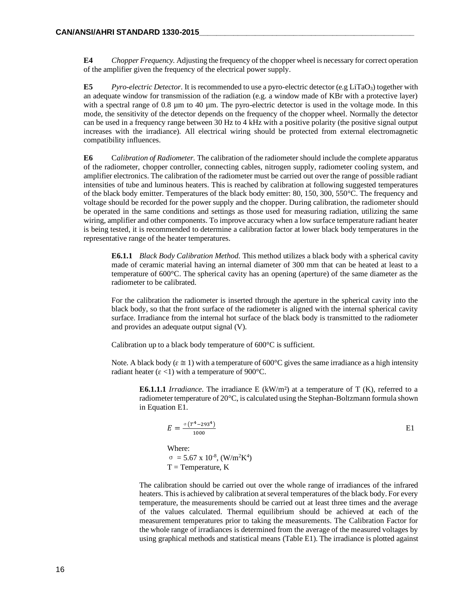**E4** *Chopper Frequency.* Adjusting the frequency of the chopper wheel is necessary for correct operation of the amplifier given the frequency of the electrical power supply.

**E5** *Pyro-electric Detector.* It is recommended to use a pyro-electric detector (e.g LiTaO<sub>3</sub>) together with an adequate window for transmission of the radiation (e.g. a window made of KBr with a protective layer) with a spectral range of  $0.8 \mu$ m to  $40 \mu$ m. The pyro-electric detector is used in the voltage mode. In this mode, the sensitivity of the detector depends on the frequency of the chopper wheel. Normally the detector can be used in a frequency range between 30 Hz to 4 kHz with a positive polarity (the positive signal output increases with the irradiance). All electrical wiring should be protected from external electromagnetic compatibility influences.

**E6** C*alibration of Radiometer.* The calibration of the radiometer should include the complete apparatus of the radiometer, chopper controller, connecting cables, nitrogen supply, radiometer cooling system, and amplifier electronics. The calibration of the radiometer must be carried out over the range of possible radiant intensities of tube and luminous heaters. This is reached by calibration at following suggested temperatures of the black body emitter. Temperatures of the black body emitter: 80, 150, 300, 550°C. The frequency and voltage should be recorded for the power supply and the chopper. During calibration, the radiometer should be operated in the same conditions and settings as those used for measuring radiation, utilizing the same wiring, amplifier and other components. To improve accuracy when a low surface temperature radiant heater is being tested, it is recommended to determine a calibration factor at lower black body temperatures in the representative range of the heater temperatures.

**E6.1.1** *Black Body Calibration Method.* This method utilizes a black body with a spherical cavity made of ceramic material having an internal diameter of 300 mm that can be heated at least to a temperature of 600°C. The spherical cavity has an opening (aperture) of the same diameter as the radiometer to be calibrated.

For the calibration the radiometer is inserted through the aperture in the spherical cavity into the black body, so that the front surface of the radiometer is aligned with the internal spherical cavity surface. Irradiance from the internal hot surface of the black body is transmitted to the radiometer and provides an adequate output signal (V).

Calibration up to a black body temperature of 600°C is sufficient.

Note. A black body ( $\varepsilon \approx 1$ ) with a temperature of 600°C gives the same irradiance as a high intensity radiant heater ( $\varepsilon$  <1) with a temperature of 900°C.

**E6.1.1.1** *Irradiance*. The irradiance E (kW/m²) at a temperature of T (K), referred to a radiometer temperature of 20°C, is calculated using the Stephan-Boltzmann formula shown in Equation E1.

$$
E = \frac{\sigma (T^4 - 293^4)}{1000}
$$
 E1

Where:  $\sigma = 5.67 \times 10^{-8}$ , (W/m<sup>2</sup>K<sup>4</sup>)  $T =$ Temperature,  $K$ 

The calibration should be carried out over the whole range of irradiances of the infrared heaters. This is achieved by calibration at several temperatures of the black body. For every temperature, the measurements should be carried out at least three times and the average of the values calculated. Thermal equilibrium should be achieved at each of the measurement temperatures prior to taking the measurements. The Calibration Factor for the whole range of irradiances is determined from the average of the measured voltages by using graphical methods and statistical means (Table E1). The irradiance is plotted against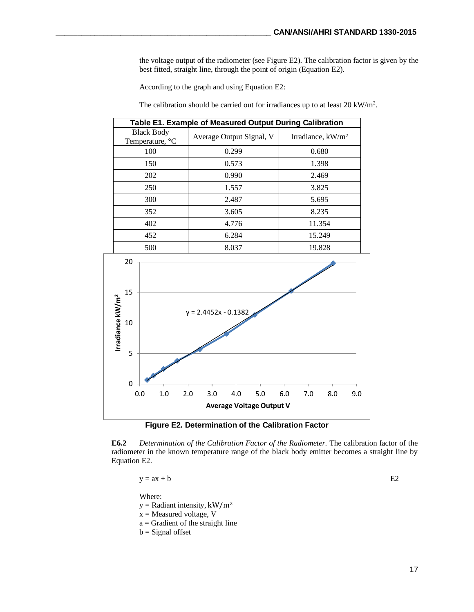the voltage output of the radiometer (see Figure E2). The calibration factor is given by the best fitted, straight line, through the point of origin (Equation E2).

According to the graph and using Equation E2:

The calibration should be carried out for irradiances up to at least  $20 \text{ kW/m}^2$ .

| Table E1. Example of Measured Output During Calibration |                          |                      |  |  |  |  |
|---------------------------------------------------------|--------------------------|----------------------|--|--|--|--|
| <b>Black Body</b><br>Temperature, <sup>o</sup> C        | Average Output Signal, V | Irradiance, $kW/m^2$ |  |  |  |  |
| 100                                                     | 0.299                    | 0.680                |  |  |  |  |
| 150                                                     | 0.573                    | 1.398                |  |  |  |  |
| 202                                                     | 0.990                    | 2.469                |  |  |  |  |
| 250                                                     | 1.557                    | 3.825                |  |  |  |  |
| 300                                                     | 2.487                    | 5.695                |  |  |  |  |
| 352                                                     | 3.605                    | 8.235                |  |  |  |  |
| 402                                                     | 4.776                    | 11.354               |  |  |  |  |
| 452                                                     | 6.284                    | 15.249               |  |  |  |  |
| 500                                                     | 8.037                    | 19.828               |  |  |  |  |





**E6.2** *Determination of the Calibration Factor of the Radiometer.* The calibration factor of the radiometer in the known temperature range of the black body emitter becomes a straight line by Equation E2.

$$
y = ax + b \tag{E2}
$$

Where:

 $y =$ Radiant intensity, kW/m<sup>2</sup>

- $x =$  Measured voltage, V
- a = Gradient of the straight line
- $b =$  Signal offset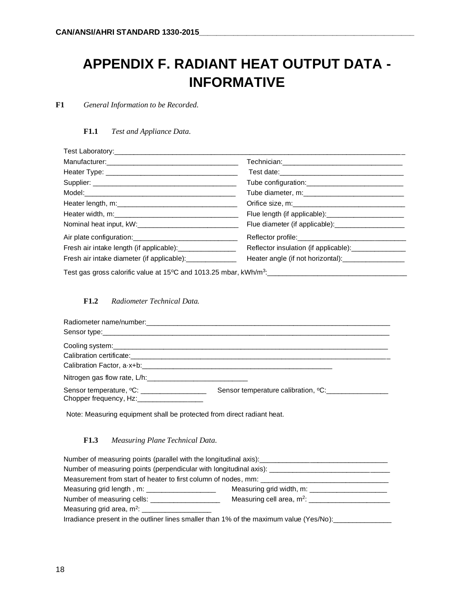# **APPENDIX F. RADIANT HEAT OUTPUT DATA - INFORMATIVE**

### **F1** *General Information to be Recorded.*

### **F1.1** *Test and Appliance Data.*

|                                                                          | Flue length (if applicable): ___________________________ |
|--------------------------------------------------------------------------|----------------------------------------------------------|
|                                                                          |                                                          |
|                                                                          | Reflector profile:                                       |
| Fresh air intake length (if applicable):_________________                | Reflector insulation (if applicable): _______________    |
| Fresh air intake diameter (if applicable): _______________               | Heater angle (if not horizontal): ____________________   |
| Test ass areas solerifie value of $4E0C$ and $4042.2E$ mbor $1/10h/m3$ . |                                                          |

Test gas gross calorific value at 15<sup>o</sup>C and 1013.25 mbar, kWh/m<sup>3</sup> :\_\_\_\_\_\_\_\_\_\_\_\_\_\_\_\_\_\_\_\_\_\_\_\_\_\_\_\_\_\_\_\_\_\_\_\_

### **F1.2** *Radiometer Technical Data.*

| Sensor temperature, °C: ___________________<br>Chopper frequency, Hz: | Sensor temperature calibration, °C: __________ |
|-----------------------------------------------------------------------|------------------------------------------------|

Note: Measuring equipment shall be protected from direct radiant heat.

### **F1.3** *Measuring Plane Technical Data.*

| Number of measuring points (parallel with the longitudinal axis): __________________________________ |  |  |  |  |  |
|------------------------------------------------------------------------------------------------------|--|--|--|--|--|
| Number of measuring points (perpendicular with longitudinal axis): _________________________________ |  |  |  |  |  |
| Measurement from start of heater to first column of nodes, mm:                                       |  |  |  |  |  |
| Measuring grid length, m: ______________________                                                     |  |  |  |  |  |
| Measuring cell area, $m^2$ :<br>Number of measuring cells: ____________________                      |  |  |  |  |  |
| Measuring grid area, $m^2$ :                                                                         |  |  |  |  |  |
| Irradiance present in the outliner lines smaller than 1% of the maximum value (Yes/No):________      |  |  |  |  |  |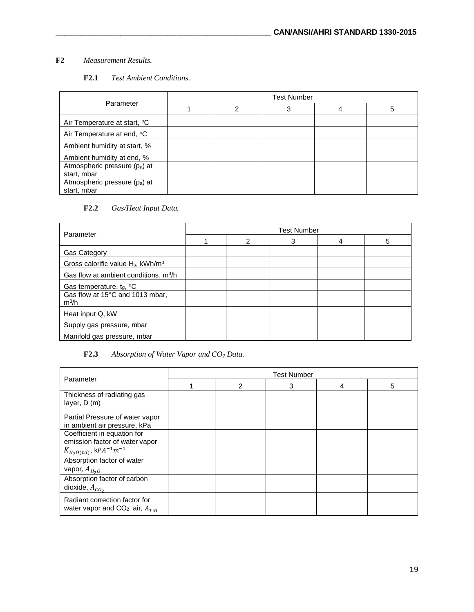## **F2** *Measurement Results.*

## **F2.1** *Test Ambient Conditions.*

| Parameter                                                | <b>Test Number</b> |   |   |   |   |  |
|----------------------------------------------------------|--------------------|---|---|---|---|--|
|                                                          |                    | 2 | 3 | 4 | 5 |  |
| Air Temperature at start, <sup>o</sup> C                 |                    |   |   |   |   |  |
| Air Temperature at end, °C                               |                    |   |   |   |   |  |
| Ambient humidity at start, %                             |                    |   |   |   |   |  |
| Ambient humidity at end, %                               |                    |   |   |   |   |  |
| Atmospheric pressure (pa) at<br>start, mbar              |                    |   |   |   |   |  |
| Atmospheric pressure (p <sub>a</sub> ) at<br>start, mbar |                    |   |   |   |   |  |

### **F2.2** *Gas/Heat Input Data.*

| Parameter                                        | <b>Test Number</b> |   |   |  |   |
|--------------------------------------------------|--------------------|---|---|--|---|
|                                                  |                    | 2 | 3 |  | 5 |
| Gas Category                                     |                    |   |   |  |   |
| Gross calorific value $H_s$ , kWh/m <sup>3</sup> |                    |   |   |  |   |
| Gas flow at ambient conditions, $m^3/h$          |                    |   |   |  |   |
| Gas temperature, $t_g$ , $\mathrm{C}$            |                    |   |   |  |   |
| Gas flow at 15°C and 1013 mbar,<br>$m^3/h$       |                    |   |   |  |   |
| Heat input Q, kW                                 |                    |   |   |  |   |
| Supply gas pressure, mbar                        |                    |   |   |  |   |
| Manifold gas pressure, mbar                      |                    |   |   |  |   |

## **F2.3** *Absorption of Water Vapor and CO<sup>2</sup> Data.*

| Parameter                                                                                                           | <b>Test Number</b> |               |   |   |   |  |
|---------------------------------------------------------------------------------------------------------------------|--------------------|---------------|---|---|---|--|
|                                                                                                                     |                    | $\mathcal{P}$ | 3 | 4 | 5 |  |
| Thickness of radiating gas<br>layer, D (m)                                                                          |                    |               |   |   |   |  |
| Partial Pressure of water vapor<br>in ambient air pressure, kPa                                                     |                    |               |   |   |   |  |
| Coefficient in equation for<br>emission factor of water vapor<br>$K_{H_2O(ta)}$ , kPA <sup>-1</sup> m <sup>-1</sup> |                    |               |   |   |   |  |
| Absorption factor of water<br>vapor, $A_{H_2O}$                                                                     |                    |               |   |   |   |  |
| Absorption factor of carbon<br>dioxide, $A_{CO_2}$                                                                  |                    |               |   |   |   |  |
| Radiant correction factor for<br>water vapor and $CO2$ air, $Ator$                                                  |                    |               |   |   |   |  |